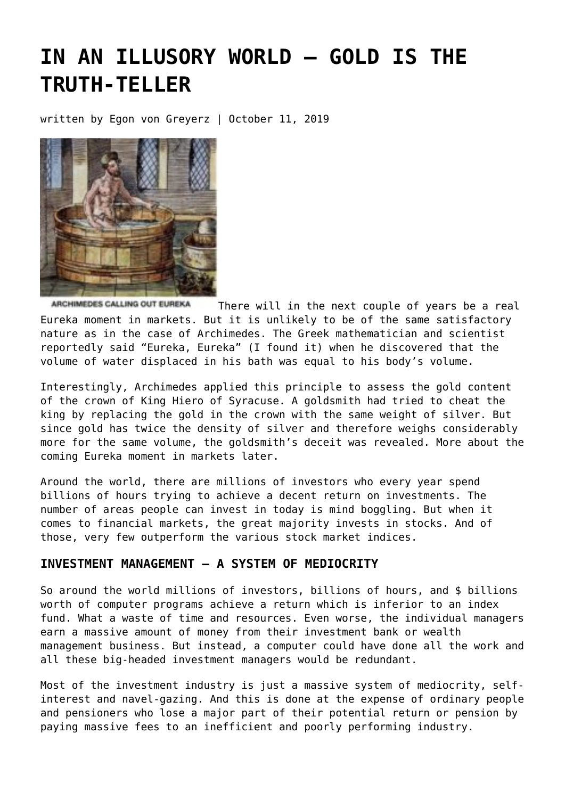# **[IN AN ILLUSORY WORLD – GOLD IS THE](https://goldswitzerland.com/in-an-illusory-world-gold-is-the-truth-teller/) [TRUTH-TELLER](https://goldswitzerland.com/in-an-illusory-world-gold-is-the-truth-teller/)**

written by Egon von Greyerz | October 11, 2019



ARCHIMEDES CALLING OUT EUREKA There will in the next couple of years be a real Eureka moment in markets. But it is unlikely to be of the same satisfactory nature as in the case of Archimedes. The Greek mathematician and scientist reportedly said "Eureka, Eureka" (I found it) when he discovered that the volume of water displaced in his bath was equal to his body's volume.

Interestingly, Archimedes applied this principle to assess the gold content of the crown of King Hiero of Syracuse. A goldsmith had tried to cheat the king by replacing the gold in the crown with the same weight of silver. But since gold has twice the density of silver and therefore weighs considerably more for the same volume, the goldsmith's deceit was revealed. More about the coming Eureka moment in markets later.

Around the world, there are millions of investors who every year spend billions of hours trying to achieve a decent return on investments. The number of areas people can invest in today is mind boggling. But when it comes to financial markets, the great majority invests in stocks. And of those, very few outperform the various stock market indices.

## **INVESTMENT MANAGEMENT – A SYSTEM OF MEDIOCRITY**

So around the world millions of investors, billions of hours, and \$ billions worth of computer programs achieve a return which is inferior to an index fund. What a waste of time and resources. Even worse, the individual managers earn a massive amount of money from their investment bank or wealth management business. But instead, a computer could have done all the work and all these big-headed investment managers would be redundant.

Most of the investment industry is just a massive system of mediocrity, selfinterest and navel-gazing. And this is done at the expense of ordinary people and pensioners who lose a major part of their potential return or pension by paying massive fees to an inefficient and poorly performing industry.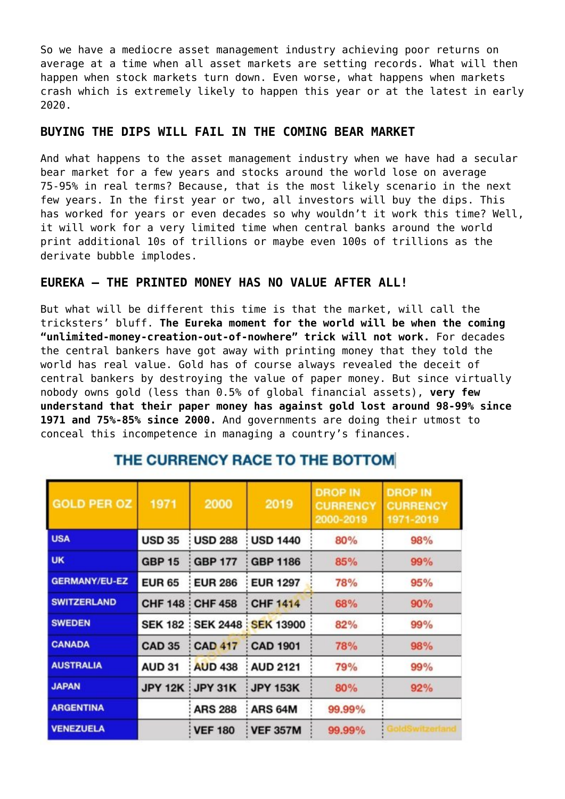So we have a mediocre asset management industry achieving poor returns on average at a time when all asset markets are setting records. What will then happen when stock markets turn down. Even worse, what happens when markets crash which is extremely likely to happen this year or at the latest in early 2020.

# **BUYING THE DIPS WILL FAIL IN THE COMING BEAR MARKET**

And what happens to the asset management industry when we have had a secular bear market for a few years and stocks around the world lose on average 75-95% in real terms? Because, that is the most likely scenario in the next few years. In the first year or two, all investors will buy the dips. This has worked for years or even decades so why wouldn't it work this time? Well, it will work for a very limited time when central banks around the world print additional 10s of trillions or maybe even 100s of trillions as the derivate bubble implodes.

# **EUREKA – THE PRINTED MONEY HAS NO VALUE AFTER ALL!**

But what will be different this time is that the market, will call the tricksters' bluff. **The Eureka moment for the world will be when the coming "unlimited-money-creation-out-of-nowhere" trick will not work.** For decades the central bankers have got away with printing money that they told the world has real value. Gold has of course always revealed the deceit of central bankers by destroying the value of paper money. But since virtually nobody owns gold (less than 0.5% of global financial assets), **very few understand that their paper money has against gold lost around 98-99% since 1971 and 75%-85% since 2000.** And governments are doing their utmost to conceal this incompetence in managing a country's finances.

| <b>GOLD PER OZ</b>   | 1971          | 2000                     | 2019                                  | <b>DROP IN</b><br><b>CURRENCY</b><br>2000-2019 | <b>DROP IN</b><br><b>CURRENCY</b><br>1971-2019 |
|----------------------|---------------|--------------------------|---------------------------------------|------------------------------------------------|------------------------------------------------|
| <b>USA</b>           | <b>USD 35</b> | <b>USD 288</b>           | <b>USD 1440</b>                       | 80%                                            | 98%                                            |
| <b>UK</b>            | <b>GBP 15</b> | <b>GBP 177</b>           | <b>GBP 1186</b>                       | 85%                                            | 99%                                            |
| <b>GERMANY/EU-EZ</b> | <b>EUR 65</b> | <b>EUR 286</b>           | <b>EUR 1297</b>                       | 78%                                            | 95%                                            |
| <b>SWITZERLAND</b>   |               | <b>CHF 148 : CHF 458</b> | <b>CHF 1414</b>                       | <b>68%</b>                                     | 90%                                            |
| <b>SWEDEN</b>        |               |                          | <b>SEK 182 : SEK 2448 : SEK 13900</b> | 82%                                            | 99%                                            |
| <b>CANADA</b>        | <b>CAD 35</b> | <b>CAD 417</b>           | <b>CAD 1901</b>                       | <b>78%</b>                                     | 98%                                            |
| <b>AUSTRALIA</b>     | <b>AUD 31</b> | <b>AUD 438</b>           | <b>AUD 2121</b>                       | 79%                                            | 99%                                            |
| <b>JAPAN</b>         |               | JPY 12K : JPY 31K        | <b>JPY 153K</b>                       | 80%                                            | 92%                                            |
| <b>ARGENTINA</b>     |               | <b>ARS 288</b>           | ARS 64M                               | 99.99%                                         |                                                |
| <b>VENEZUELA</b>     |               | <b>VEF 180</b>           | <b>VEF 357M</b>                       | 99.99%                                         |                                                |

# THE CURRENCY RACE TO THE BOTTOM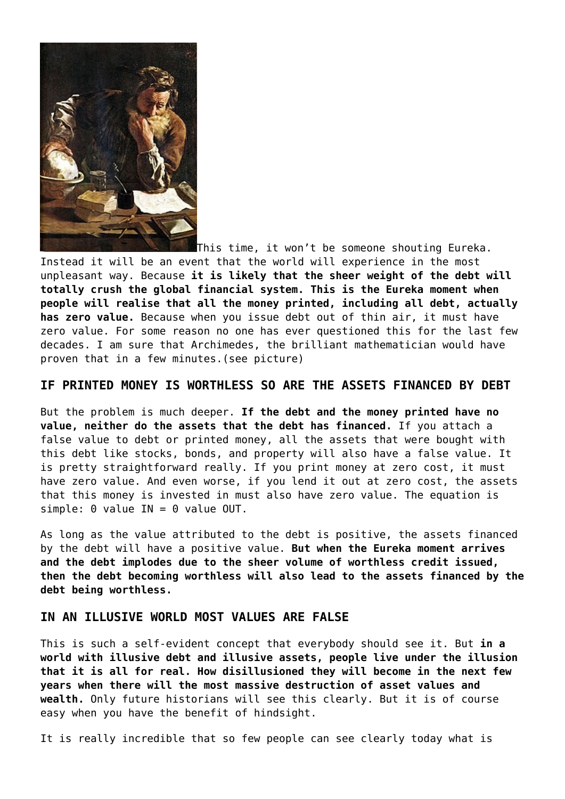

This time, it won't be someone shouting Eureka.

Instead it will be an event that the world will experience in the most unpleasant way. Because **it is likely that the sheer weight of the debt will totally crush the global financial system. This is the Eureka moment when people will realise that all the money printed, including all debt, actually has zero value.** Because when you issue debt out of thin air, it must have zero value. For some reason no one has ever questioned this for the last few decades. I am sure that Archimedes, the brilliant mathematician would have proven that in a few minutes.(see picture)

#### **IF PRINTED MONEY IS WORTHLESS SO ARE THE ASSETS FINANCED BY DEBT**

But the problem is much deeper. **If the debt and the money printed have no value, neither do the assets that the debt has financed.** If you attach a false value to debt or printed money, all the assets that were bought with this debt like stocks, bonds, and property will also have a false value. It is pretty straightforward really. If you print money at zero cost, it must have zero value. And even worse, if you lend it out at zero cost, the assets that this money is invested in must also have zero value. The equation is simple: 0 value IN = 0 value OUT.

As long as the value attributed to the debt is positive, the assets financed by the debt will have a positive value. **But when the Eureka moment arrives and the debt implodes due to the sheer volume of worthless credit issued, then the debt becoming worthless will also lead to the assets financed by the debt being worthless.**

#### **IN AN ILLUSIVE WORLD MOST VALUES ARE FALSE**

This is such a self-evident concept that everybody should see it. But **in a world with illusive debt and illusive assets, people live under the illusion that it is all for real. How disillusioned they will become in the next few years when there will the most massive destruction of asset values and wealth.** Only future historians will see this clearly. But it is of course easy when you have the benefit of hindsight.

It is really incredible that so few people can see clearly today what is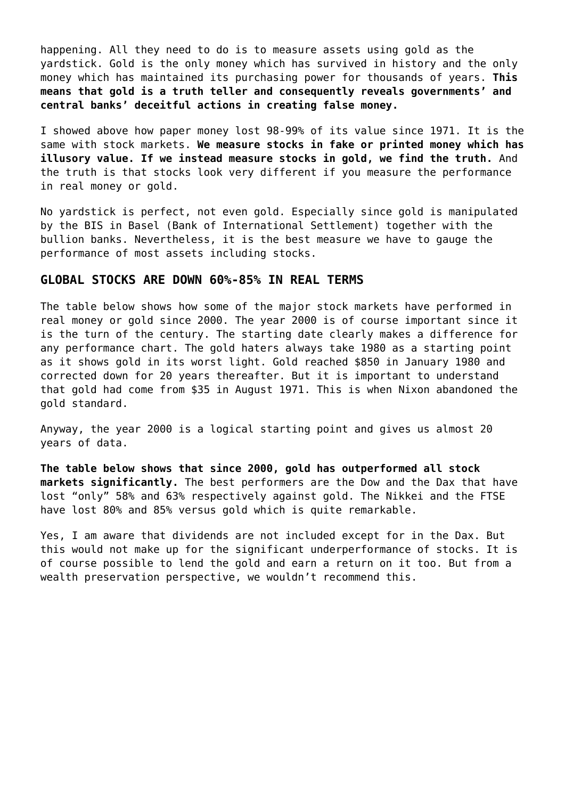happening. All they need to do is to measure assets using gold as the yardstick. Gold is the only money which has survived in history and the only money which has maintained its purchasing power for thousands of years. **This means that gold is a truth teller and consequently reveals governments' and central banks' deceitful actions in creating false money.**

I showed above how paper money lost 98-99% of its value since 1971. It is the same with stock markets. **We measure stocks in fake or printed money which has illusory value. If we instead measure stocks in gold, we find the truth.** And the truth is that stocks look very different if you measure the performance in real money or gold.

No yardstick is perfect, not even gold. Especially since gold is manipulated by the BIS in Basel (Bank of International Settlement) together with the bullion banks. Nevertheless, it is the best measure we have to gauge the performance of most assets including stocks.

#### **GLOBAL STOCKS ARE DOWN 60%-85% IN REAL TERMS**

The table below shows how some of the major stock markets have performed in real money or gold since 2000. The year 2000 is of course important since it is the turn of the century. The starting date clearly makes a difference for any performance chart. The gold haters always take 1980 as a starting point as it shows gold in its worst light. Gold reached \$850 in January 1980 and corrected down for 20 years thereafter. But it is important to understand that gold had come from \$35 in August 1971. This is when Nixon abandoned the gold standard.

Anyway, the year 2000 is a logical starting point and gives us almost 20 years of data.

**The table below shows that since 2000, gold has outperformed all stock markets significantly.** The best performers are the Dow and the Dax that have lost "only" 58% and 63% respectively against gold. The Nikkei and the FTSE have lost 80% and 85% versus gold which is quite remarkable.

Yes, I am aware that dividends are not included except for in the Dax. But this would not make up for the significant underperformance of stocks. It is of course possible to lend the gold and earn a return on it too. But from a wealth preservation perspective, we wouldn't recommend this.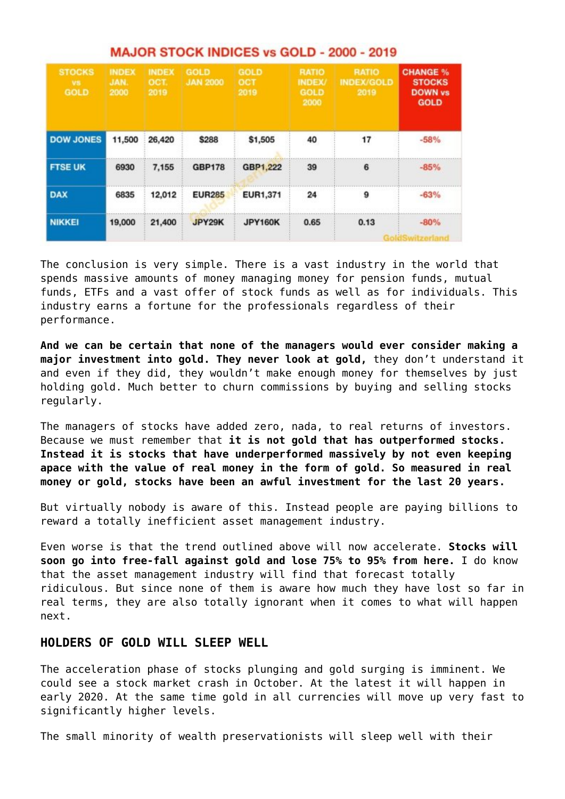| <b>STOCKS</b><br><b>VS</b><br><b>GOLD</b> | <b>INDEX</b><br>JAN.<br>2000 | <b>INDEX</b><br>OCT.<br>2019 | <b>GOLD</b><br><b>JAN 2000</b> | GOLD<br><b>OCT</b><br>2019 | <b>RATIO</b><br><b>INDEX/</b><br><b>GOLD</b><br>2000 | <b>RATIO</b><br><b>INDEX/GOLD</b><br>2019 | <b>CHANGE %</b><br><b>STOCKS</b><br><b>DOWN vs</b><br><b>GOLD</b> |
|-------------------------------------------|------------------------------|------------------------------|--------------------------------|----------------------------|------------------------------------------------------|-------------------------------------------|-------------------------------------------------------------------|
| <b>DOW JONES</b>                          | 11,500                       | 26,420                       | \$288                          | \$1,505                    | 40                                                   | 17                                        | $-58%$                                                            |
| <b>FTSE UK</b>                            | 6930                         | 7.155                        | <b>GBP178</b>                  | GBP1.222                   | 39                                                   | 6                                         | $-85%$                                                            |
| <b>DAX</b>                                | 6835                         | 12,012                       | <b>EUR285</b>                  | EUR1,371                   | 24                                                   | 9                                         | $-63%$                                                            |
| <b>NIKKEI</b>                             | 19,000                       | 21,400                       | JPY29K                         | <b>JPY160K</b>             | 0.65                                                 | 0.13                                      | $-80%$<br>Switzerland                                             |

#### **MAJOR STOCK INDICES vs GOLD - 2000 - 2019**

The conclusion is very simple. There is a vast industry in the world that spends massive amounts of money managing money for pension funds, mutual funds, ETFs and a vast offer of stock funds as well as for individuals. This industry earns a fortune for the professionals regardless of their performance.

**And we can be certain that none of the managers would ever consider making a major investment into gold. They never look at gold,** they don't understand it and even if they did, they wouldn't make enough money for themselves by just holding gold. Much better to churn commissions by buying and selling stocks regularly.

The managers of stocks have added zero, nada, to real returns of investors. Because we must remember that **it is not gold that has outperformed stocks. Instead it is stocks that have underperformed massively by not even keeping apace with the value of real money in the form of gold. So measured in real money or gold, stocks have been an awful investment for the last 20 years.**

But virtually nobody is aware of this. Instead people are paying billions to reward a totally inefficient asset management industry.

Even worse is that the trend outlined above will now accelerate. **Stocks will soon go into free-fall against gold and lose 75% to 95% from here.** I do know that the asset management industry will find that forecast totally ridiculous. But since none of them is aware how much they have lost so far in real terms, they are also totally ignorant when it comes to what will happen next.

# **HOLDERS OF GOLD WILL SLEEP WELL**

The acceleration phase of stocks plunging and gold surging is imminent. We could see a stock market crash in October. At the latest it will happen in early 2020. At the same time gold in all currencies will move up very fast to significantly higher levels.

The small minority of wealth preservationists will sleep well with their